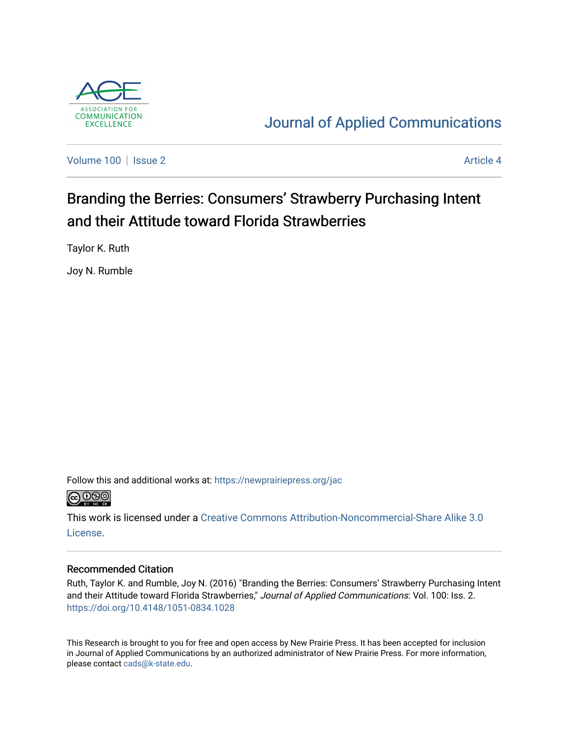

# [Journal of Applied Communications](https://newprairiepress.org/jac)

[Volume 100](https://newprairiepress.org/jac/vol100) | [Issue 2](https://newprairiepress.org/jac/vol100/iss2) Article 4

# Branding the Berries: Consumers' Strawberry Purchasing Intent and their Attitude toward Florida Strawberries

Taylor K. Ruth

Joy N. Rumble

Follow this and additional works at: [https://newprairiepress.org/jac](https://newprairiepress.org/jac?utm_source=newprairiepress.org%2Fjac%2Fvol100%2Fiss2%2F4&utm_medium=PDF&utm_campaign=PDFCoverPages)



This work is licensed under a [Creative Commons Attribution-Noncommercial-Share Alike 3.0](https://creativecommons.org/licenses/by-nc-sa/3.0/) [License.](https://creativecommons.org/licenses/by-nc-sa/3.0/)

### Recommended Citation

Ruth, Taylor K. and Rumble, Joy N. (2016) "Branding the Berries: Consumers' Strawberry Purchasing Intent and their Attitude toward Florida Strawberries," Journal of Applied Communications: Vol. 100: Iss. 2. <https://doi.org/10.4148/1051-0834.1028>

This Research is brought to you for free and open access by New Prairie Press. It has been accepted for inclusion in Journal of Applied Communications by an authorized administrator of New Prairie Press. For more information, please contact [cads@k-state.edu.](mailto:cads@k-state.edu)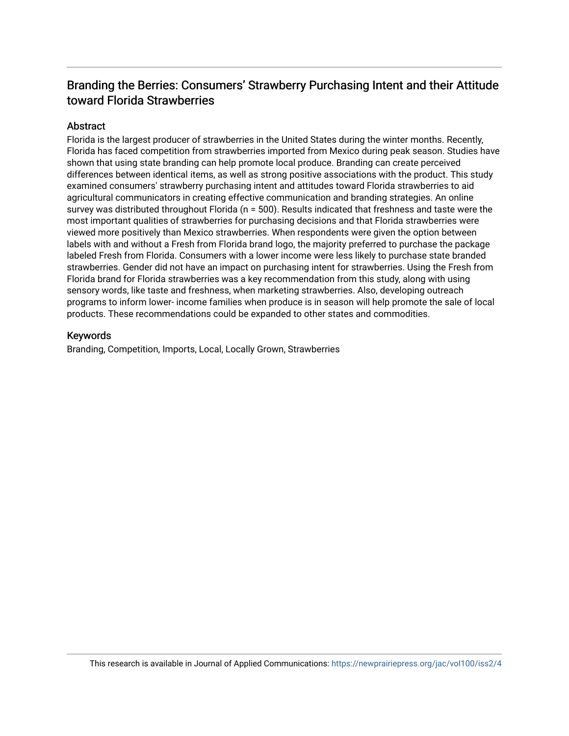# Branding the Berries: Consumers' Strawberry Purchasing Intent and their Attitude toward Florida Strawberries

### Abstract

Florida is the largest producer of strawberries in the United States during the winter months. Recently, Florida has faced competition from strawberries imported from Mexico during peak season. Studies have shown that using state branding can help promote local produce. Branding can create perceived differences between identical items, as well as strong positive associations with the product. This study examined consumers' strawberry purchasing intent and attitudes toward Florida strawberries to aid agricultural communicators in creating effective communication and branding strategies. An online survey was distributed throughout Florida (n = 500). Results indicated that freshness and taste were the most important qualities of strawberries for purchasing decisions and that Florida strawberries were viewed more positively than Mexico strawberries. When respondents were given the option between labels with and without a Fresh from Florida brand logo, the majority preferred to purchase the package labeled Fresh from Florida. Consumers with a lower income were less likely to purchase state branded strawberries. Gender did not have an impact on purchasing intent for strawberries. Using the Fresh from Florida brand for Florida strawberries was a key recommendation from this study, along with using sensory words, like taste and freshness, when marketing strawberries. Also, developing outreach programs to inform lower- income families when produce is in season will help promote the sale of local products. These recommendations could be expanded to other states and commodities.

#### Keywords

Branding, Competition, Imports, Local, Locally Grown, Strawberries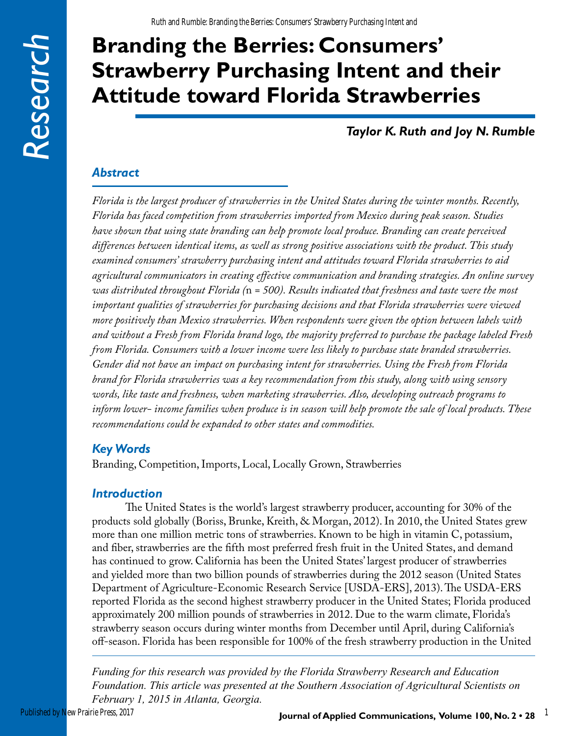# **Branding the Berries: Consumers' Strawberry Purchasing Intent and their Attitude toward Florida Strawberries**

*Taylor K. Ruth and Joy N. Rumble*

### *Abstract*

*Florida is the largest producer of strawberries in the United States during the winter months. Recently, Florida has faced competition from strawberries imported from Mexico during peak season. Studies have shown that using state branding can help promote local produce. Branding can create perceived differences between identical items, as well as strong positive associations with the product. This study examined consumers' strawberry purchasing intent and attitudes toward Florida strawberries to aid agricultural communicators in creating effective communication and branding strategies. An online survey was distributed throughout Florida (*n *= 500). Results indicated that freshness and taste were the most important qualities of strawberries for purchasing decisions and that Florida strawberries were viewed more positively than Mexico strawberries. When respondents were given the option between labels with and without a Fresh from Florida brand logo, the majority preferred to purchase the package labeled Fresh from Florida. Consumers with a lower income were less likely to purchase state branded strawberries. Gender did not have an impact on purchasing intent for strawberries. Using the Fresh from Florida brand for Florida strawberries was a key recommendation from this study, along with using sensory words, like taste and freshness, when marketing strawberries. Also, developing outreach programs to inform lower- income families when produce is in season will help promote the sale of local products. These recommendations could be expanded to other states and commodities.* 

# *Key Words*

Branding, Competition, Imports, Local, Locally Grown, Strawberries

### *Introduction*

The United States is the world's largest strawberry producer, accounting for 30% of the products sold globally (Boriss, Brunke, Kreith, & Morgan, 2012). In 2010, the United States grew more than one million metric tons of strawberries. Known to be high in vitamin C, potassium, and fiber, strawberries are the fifth most preferred fresh fruit in the United States, and demand has continued to grow. California has been the United States' largest producer of strawberries and yielded more than two billion pounds of strawberries during the 2012 season (United States Department of Agriculture-Economic Research Service [USDA-ERS], 2013). The USDA-ERS reported Florida as the second highest strawberry producer in the United States; Florida produced approximately 200 million pounds of strawberries in 2012. Due to the warm climate, Florida's strawberry season occurs during winter months from December until April, during California's off-season. Florida has been responsible for 100% of the fresh strawberry production in the United

*Funding for this research was provided by the Florida Strawberry Research and Education Foundation. This article was presented at the Southern Association of Agricultural Scientists on February 1, 2015 in Atlanta, Georgia.*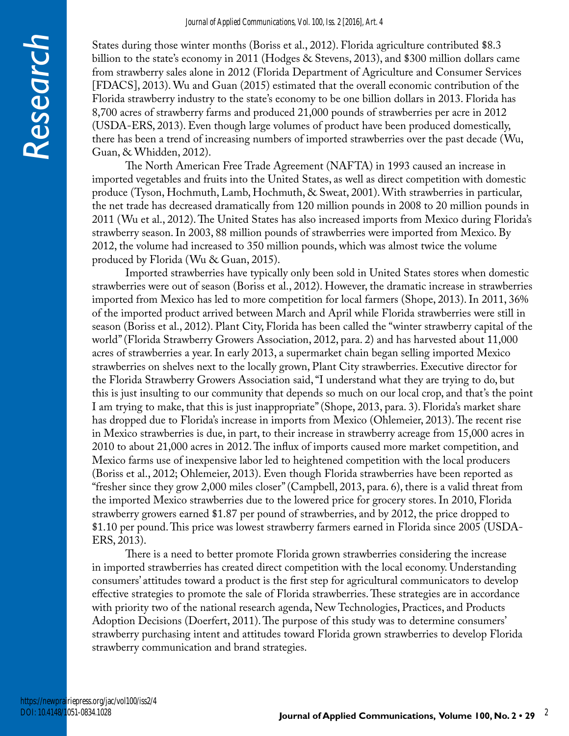States during those winter months (Boriss et al., 2012). Florida agriculture contributed \$8.3 billion to the state's economy in 2011 (Hodges & Stevens, 2013), and \$300 million dollars came from strawberry sales alone in 2012 (Florida Department of Agriculture and Consumer Services [FDACS], 2013). Wu and Guan (2015) estimated that the overall economic contribution of the Florida strawberry industry to the state's economy to be one billion dollars in 2013. Florida has 8,700 acres of strawberry farms and produced 21,000 pounds of strawberries per acre in 2012 (USDA-ERS, 2013). Even though large volumes of product have been produced domestically, there has been a trend of increasing numbers of imported strawberries over the past decade (Wu, Guan, & Whidden, 2012).

The North American Free Trade Agreement (NAFTA) in 1993 caused an increase in imported vegetables and fruits into the United States, as well as direct competition with domestic produce (Tyson, Hochmuth, Lamb, Hochmuth, & Sweat, 2001). With strawberries in particular, the net trade has decreased dramatically from 120 million pounds in 2008 to 20 million pounds in 2011 (Wu et al., 2012). The United States has also increased imports from Mexico during Florida's strawberry season. In 2003, 88 million pounds of strawberries were imported from Mexico. By 2012, the volume had increased to 350 million pounds, which was almost twice the volume produced by Florida (Wu & Guan, 2015).

Imported strawberries have typically only been sold in United States stores when domestic strawberries were out of season (Boriss et al., 2012). However, the dramatic increase in strawberries imported from Mexico has led to more competition for local farmers (Shope, 2013). In 2011, 36% of the imported product arrived between March and April while Florida strawberries were still in season (Boriss et al., 2012). Plant City, Florida has been called the "winter strawberry capital of the world" (Florida Strawberry Growers Association, 2012, para. 2) and has harvested about 11,000 acres of strawberries a year. In early 2013, a supermarket chain began selling imported Mexico strawberries on shelves next to the locally grown, Plant City strawberries. Executive director for the Florida Strawberry Growers Association said, "I understand what they are trying to do, but this is just insulting to our community that depends so much on our local crop, and that's the point I am trying to make, that this is just inappropriate" (Shope, 2013, para. 3). Florida's market share has dropped due to Florida's increase in imports from Mexico (Ohlemeier, 2013). The recent rise in Mexico strawberries is due, in part, to their increase in strawberry acreage from 15,000 acres in 2010 to about 21,000 acres in 2012. The influx of imports caused more market competition, and Mexico farms use of inexpensive labor led to heightened competition with the local producers (Boriss et al., 2012; Ohlemeier, 2013). Even though Florida strawberries have been reported as "fresher since they grow 2,000 miles closer" (Campbell, 2013, para. 6), there is a valid threat from the imported Mexico strawberries due to the lowered price for grocery stores. In 2010, Florida strawberry growers earned \$1.87 per pound of strawberries, and by 2012, the price dropped to \$1.10 per pound. This price was lowest strawberry farmers earned in Florida since 2005 (USDA-ERS, 2013).

There is a need to better promote Florida grown strawberries considering the increase in imported strawberries has created direct competition with the local economy. Understanding consumers' attitudes toward a product is the first step for agricultural communicators to develop effective strategies to promote the sale of Florida strawberries. These strategies are in accordance with priority two of the national research agenda, New Technologies, Practices, and Products Adoption Decisions (Doerfert, 2011). The purpose of this study was to determine consumers' strawberry purchasing intent and attitudes toward Florida grown strawberries to develop Florida strawberry communication and brand strategies.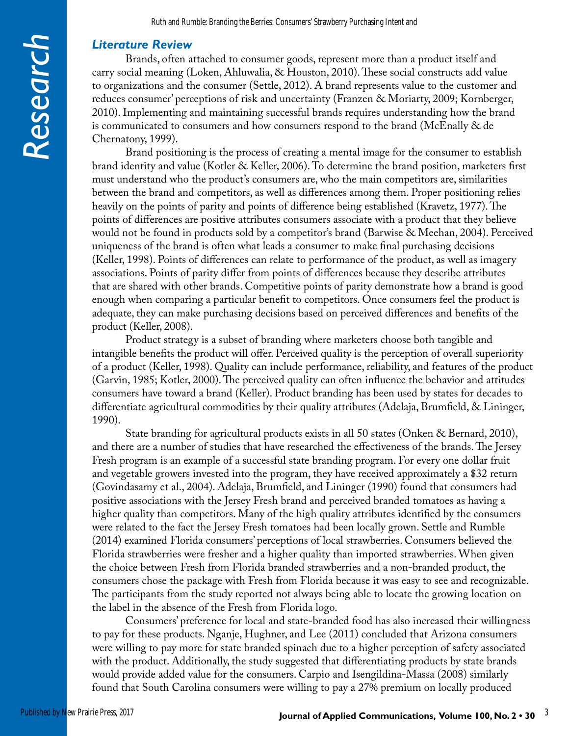### *Literature Review*

Brands, often attached to consumer goods, represent more than a product itself and carry social meaning (Loken, Ahluwalia, & Houston, 2010). These social constructs add value to organizations and the consumer (Settle, 2012). A brand represents value to the customer and reduces consumer' perceptions of risk and uncertainty (Franzen & Moriarty, 2009; Kornberger, 2010). Implementing and maintaining successful brands requires understanding how the brand is communicated to consumers and how consumers respond to the brand (McEnally & de Chernatony, 1999).

Brand positioning is the process of creating a mental image for the consumer to establish brand identity and value (Kotler & Keller, 2006). To determine the brand position, marketers first must understand who the product's consumers are, who the main competitors are, similarities between the brand and competitors, as well as differences among them. Proper positioning relies heavily on the points of parity and points of difference being established (Kravetz, 1977). The points of differences are positive attributes consumers associate with a product that they believe would not be found in products sold by a competitor's brand (Barwise & Meehan, 2004). Perceived uniqueness of the brand is often what leads a consumer to make final purchasing decisions (Keller, 1998). Points of differences can relate to performance of the product, as well as imagery associations. Points of parity differ from points of differences because they describe attributes that are shared with other brands. Competitive points of parity demonstrate how a brand is good enough when comparing a particular benefit to competitors. Once consumers feel the product is adequate, they can make purchasing decisions based on perceived differences and benefits of the product (Keller, 2008).

Product strategy is a subset of branding where marketers choose both tangible and intangible benefits the product will offer. Perceived quality is the perception of overall superiority of a product (Keller, 1998). Quality can include performance, reliability, and features of the product (Garvin, 1985; Kotler, 2000). The perceived quality can often influence the behavior and attitudes consumers have toward a brand (Keller). Product branding has been used by states for decades to differentiate agricultural commodities by their quality attributes (Adelaja, Brumfield, & Lininger, 1990).

State branding for agricultural products exists in all 50 states (Onken & Bernard, 2010), and there are a number of studies that have researched the effectiveness of the brands. The Jersey Fresh program is an example of a successful state branding program. For every one dollar fruit and vegetable growers invested into the program, they have received approximately a \$32 return (Govindasamy et al., 2004). Adelaja, Brumfield, and Lininger (1990) found that consumers had positive associations with the Jersey Fresh brand and perceived branded tomatoes as having a higher quality than competitors. Many of the high quality attributes identified by the consumers were related to the fact the Jersey Fresh tomatoes had been locally grown. Settle and Rumble (2014) examined Florida consumers' perceptions of local strawberries. Consumers believed the Florida strawberries were fresher and a higher quality than imported strawberries. When given the choice between Fresh from Florida branded strawberries and a non-branded product, the consumers chose the package with Fresh from Florida because it was easy to see and recognizable. The participants from the study reported not always being able to locate the growing location on the label in the absence of the Fresh from Florida logo.

Consumers' preference for local and state-branded food has also increased their willingness to pay for these products. Nganje, Hughner, and Lee (2011) concluded that Arizona consumers were willing to pay more for state branded spinach due to a higher perception of safety associated with the product. Additionally, the study suggested that differentiating products by state brands would provide added value for the consumers. Carpio and Isengildina-Massa (2008) similarly found that South Carolina consumers were willing to pay a 27% premium on locally produced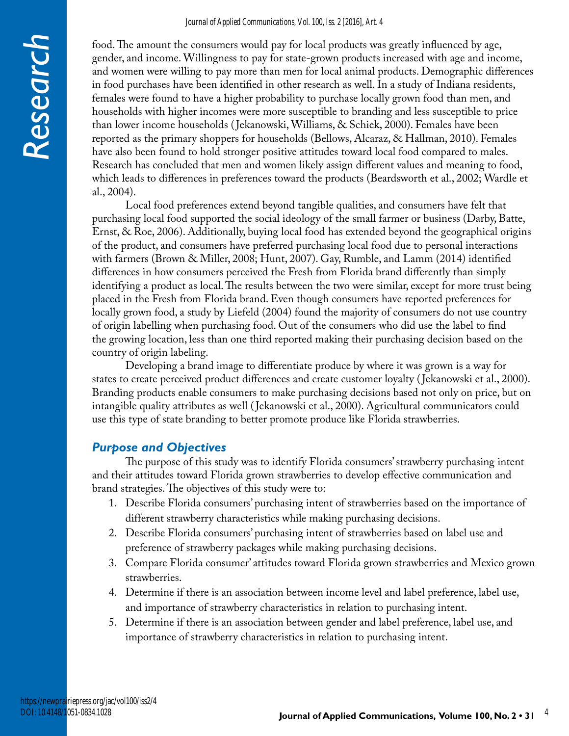#### *Journal of Applied Communications, Vol. 100, Iss. 2 [2016], Art. 4*

food. The amount the consumers would pay for local products was greatly influenced by age, gender, and income. Willingness to pay for state-grown products increased with age and income, and women were willing to pay more than men for local animal products. Demographic differences in food purchases have been identified in other research as well. In a study of Indiana residents, females were found to have a higher probability to purchase locally grown food than men, and households with higher incomes were more susceptible to branding and less susceptible to price than lower income households ( Jekanowski, Williams, & Schiek, 2000). Females have been reported as the primary shoppers for households (Bellows, Alcaraz, & Hallman, 2010). Females have also been found to hold stronger positive attitudes toward local food compared to males. Research has concluded that men and women likely assign different values and meaning to food, which leads to differences in preferences toward the products (Beardsworth et al., 2002; Wardle et al., 2004).

Local food preferences extend beyond tangible qualities, and consumers have felt that purchasing local food supported the social ideology of the small farmer or business (Darby, Batte, Ernst, & Roe, 2006). Additionally, buying local food has extended beyond the geographical origins of the product, and consumers have preferred purchasing local food due to personal interactions with farmers (Brown & Miller, 2008; Hunt, 2007). Gay, Rumble, and Lamm (2014) identified differences in how consumers perceived the Fresh from Florida brand differently than simply identifying a product as local. The results between the two were similar, except for more trust being placed in the Fresh from Florida brand. Even though consumers have reported preferences for locally grown food, a study by Liefeld (2004) found the majority of consumers do not use country of origin labelling when purchasing food. Out of the consumers who did use the label to find the growing location, less than one third reported making their purchasing decision based on the country of origin labeling.

Developing a brand image to differentiate produce by where it was grown is a way for states to create perceived product differences and create customer loyalty ( Jekanowski et al., 2000). Branding products enable consumers to make purchasing decisions based not only on price, but on intangible quality attributes as well ( Jekanowski et al., 2000). Agricultural communicators could use this type of state branding to better promote produce like Florida strawberries.

### *Purpose and Objectives*

The purpose of this study was to identify Florida consumers' strawberry purchasing intent and their attitudes toward Florida grown strawberries to develop effective communication and brand strategies. The objectives of this study were to:

- 1. Describe Florida consumers' purchasing intent of strawberries based on the importance of different strawberry characteristics while making purchasing decisions.
- 2. Describe Florida consumers' purchasing intent of strawberries based on label use and preference of strawberry packages while making purchasing decisions.
- 3. Compare Florida consumer' attitudes toward Florida grown strawberries and Mexico grown strawberries.
- 4. Determine if there is an association between income level and label preference, label use, and importance of strawberry characteristics in relation to purchasing intent.
- 5. Determine if there is an association between gender and label preference, label use, and importance of strawberry characteristics in relation to purchasing intent.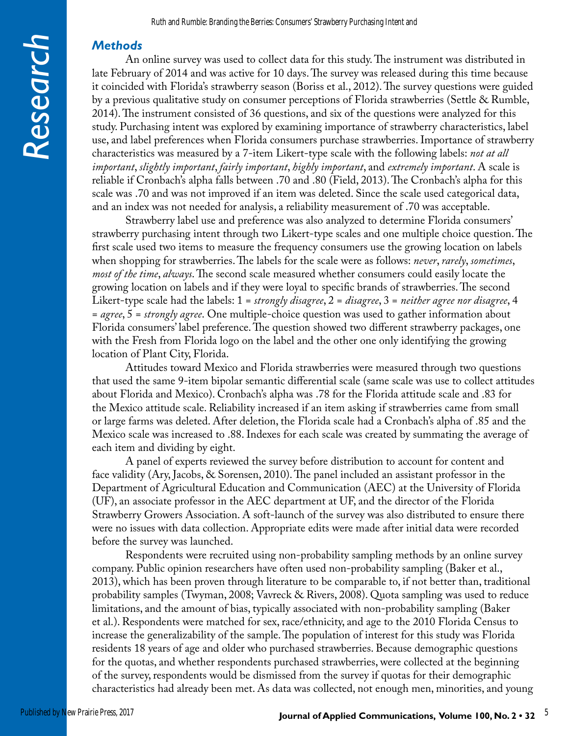## *Methods*

An online survey was used to collect data for this study. The instrument was distributed in late February of 2014 and was active for 10 days. The survey was released during this time because it coincided with Florida's strawberry season (Boriss et al., 2012). The survey questions were guided by a previous qualitative study on consumer perceptions of Florida strawberries (Settle & Rumble, 2014). The instrument consisted of 36 questions, and six of the questions were analyzed for this study. Purchasing intent was explored by examining importance of strawberry characteristics, label use, and label preferences when Florida consumers purchase strawberries. Importance of strawberry characteristics was measured by a 7-item Likert-type scale with the following labels: *not at all important*, *slightly important*, *fairly important*, *highly important*, and *extremely important*. A scale is reliable if Cronbach's alpha falls between .70 and .80 (Field, 2013). The Cronbach's alpha for this scale was .70 and was not improved if an item was deleted. Since the scale used categorical data, and an index was not needed for analysis, a reliability measurement of .70 was acceptable.

Strawberry label use and preference was also analyzed to determine Florida consumers' strawberry purchasing intent through two Likert-type scales and one multiple choice question. The first scale used two items to measure the frequency consumers use the growing location on labels when shopping for strawberries. The labels for the scale were as follows: *never*, *rarely*, *sometimes*, *most of the time*, *always*. The second scale measured whether consumers could easily locate the growing location on labels and if they were loyal to specific brands of strawberries. The second Likert-type scale had the labels: 1 = *strongly disagree*, 2 = *disagree*, 3 = *neither agree nor disagree*, 4 = *agree*, 5 = *strongly agree*. One multiple-choice question was used to gather information about Florida consumers' label preference. The question showed two different strawberry packages, one with the Fresh from Florida logo on the label and the other one only identifying the growing location of Plant City, Florida.

Attitudes toward Mexico and Florida strawberries were measured through two questions that used the same 9-item bipolar semantic differential scale (same scale was use to collect attitudes about Florida and Mexico). Cronbach's alpha was .78 for the Florida attitude scale and .83 for the Mexico attitude scale. Reliability increased if an item asking if strawberries came from small or large farms was deleted. After deletion, the Florida scale had a Cronbach's alpha of .85 and the Mexico scale was increased to .88. Indexes for each scale was created by summating the average of each item and dividing by eight.

A panel of experts reviewed the survey before distribution to account for content and face validity (Ary, Jacobs, & Sorensen, 2010). The panel included an assistant professor in the Department of Agricultural Education and Communication (AEC) at the University of Florida (UF), an associate professor in the AEC department at UF, and the director of the Florida Strawberry Growers Association. A soft-launch of the survey was also distributed to ensure there were no issues with data collection. Appropriate edits were made after initial data were recorded before the survey was launched.

Respondents were recruited using non-probability sampling methods by an online survey company. Public opinion researchers have often used non-probability sampling (Baker et al., 2013), which has been proven through literature to be comparable to, if not better than, traditional probability samples (Twyman, 2008; Vavreck & Rivers, 2008). Quota sampling was used to reduce limitations, and the amount of bias, typically associated with non-probability sampling (Baker et al.). Respondents were matched for sex, race/ethnicity, and age to the 2010 Florida Census to increase the generalizability of the sample. The population of interest for this study was Florida residents 18 years of age and older who purchased strawberries. Because demographic questions for the quotas, and whether respondents purchased strawberries, were collected at the beginning of the survey, respondents would be dismissed from the survey if quotas for their demographic characteristics had already been met. As data was collected, not enough men, minorities, and young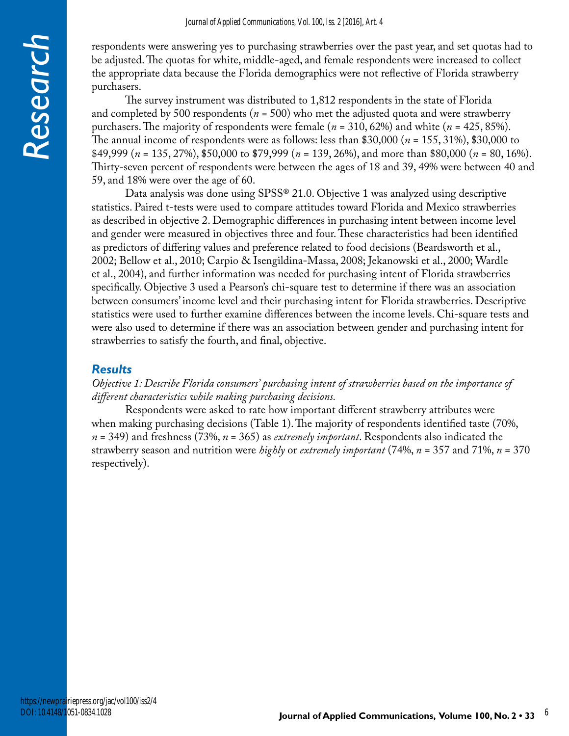respondents were answering yes to purchasing strawberries over the past year, and set quotas had to be adjusted. The quotas for white, middle-aged, and female respondents were increased to collect the appropriate data because the Florida demographics were not reflective of Florida strawberry purchasers.

The survey instrument was distributed to 1,812 respondents in the state of Florida and completed by 500 respondents ( $n = 500$ ) who met the adjusted quota and were strawberry purchasers. The majority of respondents were female (*n* = 310, 62%) and white (*n* = 425, 85%). The annual income of respondents were as follows: less than \$30,000 (*n* = 155, 31%), \$30,000 to \$49,999 (*n* = 135, 27%), \$50,000 to \$79,999 (*n* = 139, 26%), and more than \$80,000 (*n* = 80, 16%). Thirty-seven percent of respondents were between the ages of 18 and 39, 49% were between 40 and 59, and 18% were over the age of 60.

Data analysis was done using SPSS® 21.0. Objective 1 was analyzed using descriptive statistics. Paired t-tests were used to compare attitudes toward Florida and Mexico strawberries as described in objective 2. Demographic differences in purchasing intent between income level and gender were measured in objectives three and four. These characteristics had been identified as predictors of differing values and preference related to food decisions (Beardsworth et al., 2002; Bellow et al., 2010; Carpio & Isengildina-Massa, 2008; Jekanowski et al., 2000; Wardle et al., 2004), and further information was needed for purchasing intent of Florida strawberries specifically. Objective 3 used a Pearson's chi-square test to determine if there was an association between consumers' income level and their purchasing intent for Florida strawberries. Descriptive statistics were used to further examine differences between the income levels. Chi-square tests and were also used to determine if there was an association between gender and purchasing intent for strawberries to satisfy the fourth, and final, objective.

### *Results*

### *Objective 1: Describe Florida consumers' purchasing intent of strawberries based on the importance of different characteristics while making purchasing decisions.*

Respondents were asked to rate how important different strawberry attributes were when making purchasing decisions (Table 1). The majority of respondents identified taste (70%, *n* = 349) and freshness (73%, *n* = 365) as *extremely important*. Respondents also indicated the strawberry season and nutrition were *highly* or *extremely important* (74%, *n* = 357 and 71%, *n* = 370 respectively).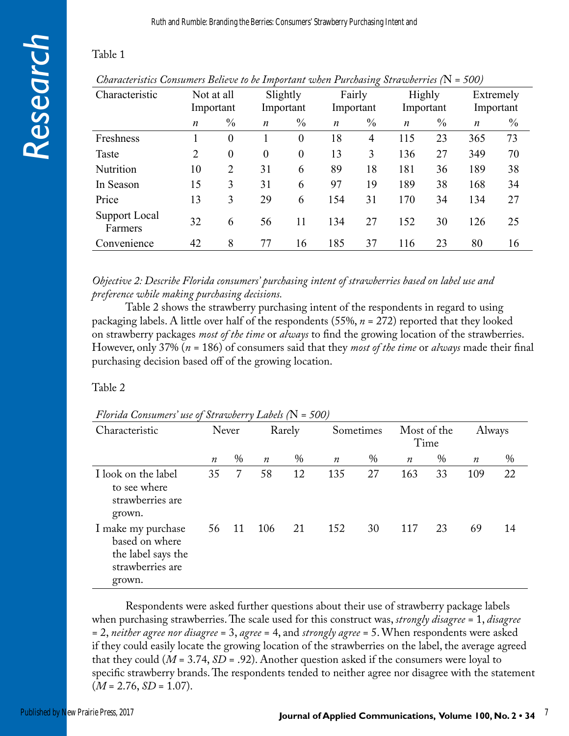# Table 1

| Characteristic           | Not at all<br>Important |               |                  | Slightly<br>Important |                  | Fairly<br>Important |                  | Highly<br>Important |                  | Extremely<br>Important |
|--------------------------|-------------------------|---------------|------------------|-----------------------|------------------|---------------------|------------------|---------------------|------------------|------------------------|
|                          |                         | $\frac{0}{0}$ |                  | $\frac{0}{0}$         |                  | $\frac{0}{0}$       |                  | $\frac{0}{0}$       |                  | $\frac{0}{0}$          |
|                          | n                       |               | $\boldsymbol{n}$ |                       | $\boldsymbol{n}$ |                     | $\boldsymbol{n}$ |                     | $\boldsymbol{n}$ |                        |
| Freshness                |                         | $\theta$      |                  | $\theta$              | 18               | $\overline{4}$      | 115              | 23                  | 365              | 73                     |
| Taste                    | 2                       | $\theta$      | $\theta$         | $\theta$              | 13               | 3                   | 136              | 27                  | 349              | 70                     |
| Nutrition                | 10                      | 2             | 31               | 6                     | 89               | 18                  | 181              | 36                  | 189              | 38                     |
| In Season                | 15                      | 3             | 31               | 6                     | 97               | 19                  | 189              | 38                  | 168              | 34                     |
| Price                    | 13                      | 3             | 29               | 6                     | 154              | 31                  | 170              | 34                  | 134              | 27                     |
| Support Local<br>Farmers | 32                      | 6             | 56               | 11                    | 134              | 27                  | 152              | 30                  | 126              | 25                     |
| Convenience              | 42                      | 8             | 77               | 16                    | 185              | 37                  | 116              | 23                  | 80               | 16                     |

*Characteristics Consumers Believe to be Important when Purchasing Strawberries (*N *= 500)*

*Objective 2: Describe Florida consumers' purchasing intent of strawberries based on label use and preference while making purchasing decisions.*

Table 2 shows the strawberry purchasing intent of the respondents in regard to using packaging labels. A little over half of the respondents (55%, *n* = 272) reported that they looked on strawberry packages *most of the time* or *always* to find the growing location of the strawberries. However, only 37% (*n* = 186) of consumers said that they *most of the time* or *always* made their final purchasing decision based off of the growing location.

### Table 2

| Florida Consumers' use of Strawberry Labels (N = 500) |  |
|-------------------------------------------------------|--|
|-------------------------------------------------------|--|

| Characteristic                                                                           | Never<br>Rarely  |      |                  | Sometimes |                  | Most of the<br>Time |                  | Always |                  |      |
|------------------------------------------------------------------------------------------|------------------|------|------------------|-----------|------------------|---------------------|------------------|--------|------------------|------|
|                                                                                          | $\boldsymbol{n}$ | $\%$ | $\boldsymbol{n}$ | $\%$      | $\boldsymbol{n}$ | $\%$                | $\boldsymbol{n}$ | $\%$   | $\boldsymbol{n}$ | $\%$ |
| I look on the label<br>to see where<br>strawberries are<br>grown.                        | 35               | 7    | 58               | 12        | 135              | 27                  | 163              | 33     | 109              | 22   |
| I make my purchase<br>based on where<br>the label says the<br>strawberries are<br>grown. | 56               | 11   | 106              | 21        | 152              | 30                  | 117              | 23     | 69               | 14   |

Respondents were asked further questions about their use of strawberry package labels when purchasing strawberries. The scale used for this construct was, *strongly disagree* = 1, *disagree* = 2, *neither agree nor disagree* = 3, *agree* = 4, and *strongly agree* = 5. When respondents were asked if they could easily locate the growing location of the strawberries on the label, the average agreed that they could (*M* = 3.74, *SD* = .92). Another question asked if the consumers were loyal to specific strawberry brands. The respondents tended to neither agree nor disagree with the statement  $(M = 2.76, SD = 1.07).$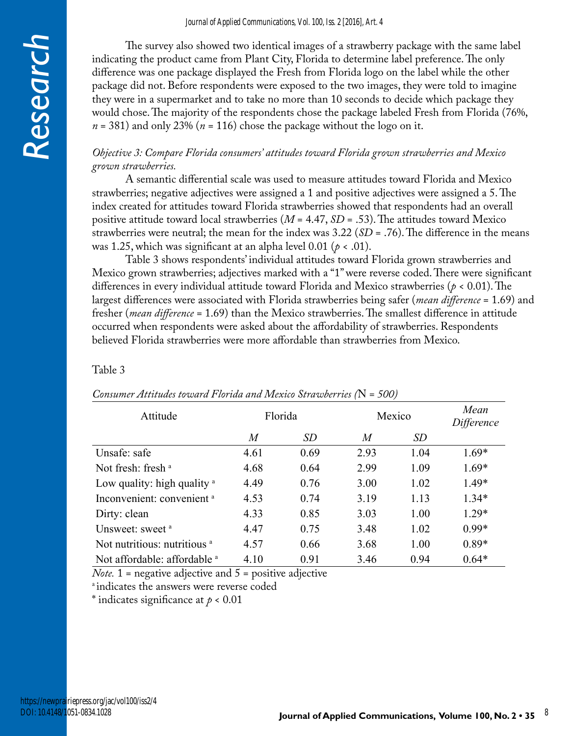The survey also showed two identical images of a strawberry package with the same label indicating the product came from Plant City, Florida to determine label preference. The only difference was one package displayed the Fresh from Florida logo on the label while the other package did not. Before respondents were exposed to the two images, they were told to imagine they were in a supermarket and to take no more than 10 seconds to decide which package they would chose. The majority of the respondents chose the package labeled Fresh from Florida (76%, *n* = 381) and only 23% (*n* = 116) chose the package without the logo on it.

### *Objective 3: Compare Florida consumers' attitudes toward Florida grown strawberries and Mexico grown strawberries.*

A semantic differential scale was used to measure attitudes toward Florida and Mexico strawberries; negative adjectives were assigned a 1 and positive adjectives were assigned a 5. The index created for attitudes toward Florida strawberries showed that respondents had an overall positive attitude toward local strawberries (*M* = 4.47, *SD* = .53). The attitudes toward Mexico strawberries were neutral; the mean for the index was 3.22 (*SD* = .76). The difference in the means was 1.25, which was significant at an alpha level  $0.01$  ( $p < .01$ ).

Table 3 shows respondents' individual attitudes toward Florida grown strawberries and Mexico grown strawberries; adjectives marked with a "1" were reverse coded. There were significant differences in every individual attitude toward Florida and Mexico strawberries (*p* < 0.01). The largest differences were associated with Florida strawberries being safer (*mean difference* = 1.69) and fresher (*mean difference* = 1.69) than the Mexico strawberries. The smallest difference in attitude occurred when respondents were asked about the affordability of strawberries. Respondents believed Florida strawberries were more affordable than strawberries from Mexico.

### Table 3

| Attitude                                |      | Florida |      | Mexico    |         |  |
|-----------------------------------------|------|---------|------|-----------|---------|--|
|                                         | M    | SD      | M    | <i>SD</i> |         |  |
| Unsafe: safe                            | 4.61 | 0.69    | 2.93 | 1.04      | $1.69*$ |  |
| Not fresh: fresh $a$                    | 4.68 | 0.64    | 2.99 | 1.09      | $1.69*$ |  |
| Low quality: high quality $a$           | 4.49 | 0.76    | 3.00 | 1.02      | 1.49*   |  |
| Inconvenient: convenient <sup>a</sup>   | 4.53 | 0.74    | 3.19 | 1.13      | $1.34*$ |  |
| Dirty: clean                            | 4.33 | 0.85    | 3.03 | 1.00      | $1.29*$ |  |
| Unsweet: sweet <sup>a</sup>             | 4.47 | 0.75    | 3.48 | 1.02      | $0.99*$ |  |
| Not nutritious: nutritious <sup>a</sup> | 4.57 | 0.66    | 3.68 | 1.00      | $0.89*$ |  |
| Not affordable: affordable a            | 4.10 | 0.91    | 3.46 | 0.94      | $0.64*$ |  |

### *Consumer Attitudes toward Florida and Mexico Strawberries (*N *= 500)*

*Note.* 1 = negative adjective and 5 = positive adjective

<sup>a</sup> indicates the answers were reverse coded

\* indicates significance at *p* < 0.01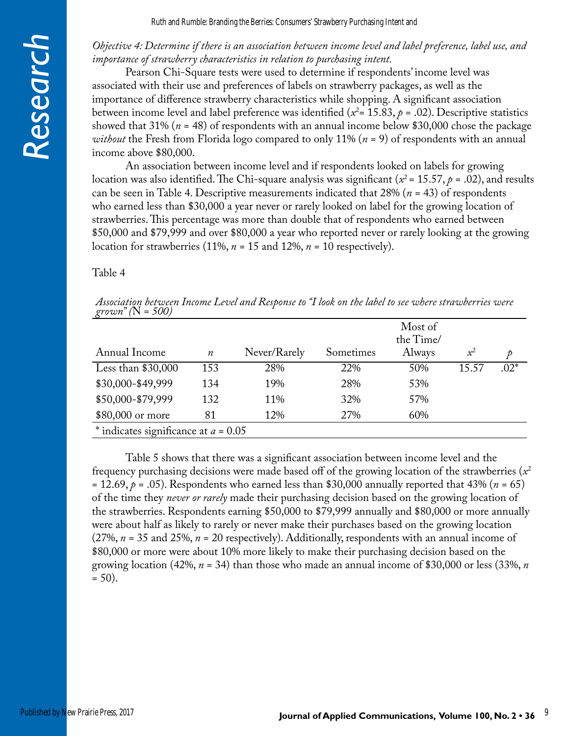Ruth and Rumble: Branding the Berries: Consumers' Strawberry Purchasing Intent and

### *Objective 4: Determine if there is an association between income level and label preference, label use, and importance of strawberry characteristics in relation to purchasing intent.*

Pearson Chi-Square tests were used to determine if respondents' income level was associated with their use and preferences of labels on strawberry packages, as well as the importance of difference strawberry characteristics while shopping. A significant association between income level and label preference was identified ( $x^2$ = 15.83,  $p$  = .02). Descriptive statistics showed that 31% (*n* = 48) of respondents with an annual income below \$30,000 chose the package *without* the Fresh from Florida logo compared to only 11% (*n* = 9) of respondents with an annual income above \$80,000.

An association between income level and if respondents looked on labels for growing location was also identified. The Chi-square analysis was significant ( $x^2 = 15.57$ ,  $p = .02$ ), and results can be seen in Table 4. Descriptive measurements indicated that 28% (*n* = 43) of respondents who earned less than \$30,000 a year never or rarely looked on label for the growing location of strawberries. This percentage was more than double that of respondents who earned between \$50,000 and \$79,999 and over \$80,000 a year who reported never or rarely looking at the growing location for strawberries (11%,  $n = 15$  and 12%,  $n = 10$  respectively).

#### Table 4

|                      |  |  | Association between Income Level and Response to "I look on the label to see where strawberries were |
|----------------------|--|--|------------------------------------------------------------------------------------------------------|
| grown" ( $N = 500$ ) |  |  |                                                                                                      |

|                                        |                  |              |           | Most of<br>the Time/ |       |        |
|----------------------------------------|------------------|--------------|-----------|----------------------|-------|--------|
| Annual Income                          | $\boldsymbol{n}$ | Never/Rarely | Sometimes | Always               | $x^2$ |        |
| Less than $$30,000$                    | 153              | 28%          | 22%       | 50%                  | 15.57 | $.02*$ |
| \$30,000-\$49,999                      | 134              | 19%          | 28%       | 53%                  |       |        |
| \$50,000-\$79,999                      | 132              | 11%          | 32%       | 57%                  |       |        |
| \$80,000 or more                       | 81               | 12%          | 27%       | 60%                  |       |        |
| * indicates significance at $a = 0.05$ |                  |              |           |                      |       |        |

Table 5 shows that there was a significant association between income level and the frequency purchasing decisions were made based off of the growing location of the strawberries  $(x^2)$ = 12.69,  $p$  = .05). Respondents who earned less than \$30,000 annually reported that 43% ( $n = 65$ ) of the time they *never or rarely* made their purchasing decision based on the growing location of the strawberries. Respondents earning \$50,000 to \$79,999 annually and \$80,000 or more annually were about half as likely to rarely or never make their purchases based on the growing location (27%, *n* = 35 and 25%, *n* = 20 respectively). Additionally, respondents with an annual income of \$80,000 or more were about 10% more likely to make their purchasing decision based on the growing location (42%, *n* = 34) than those who made an annual income of \$30,000 or less (33%, *n*  $= 50$ ).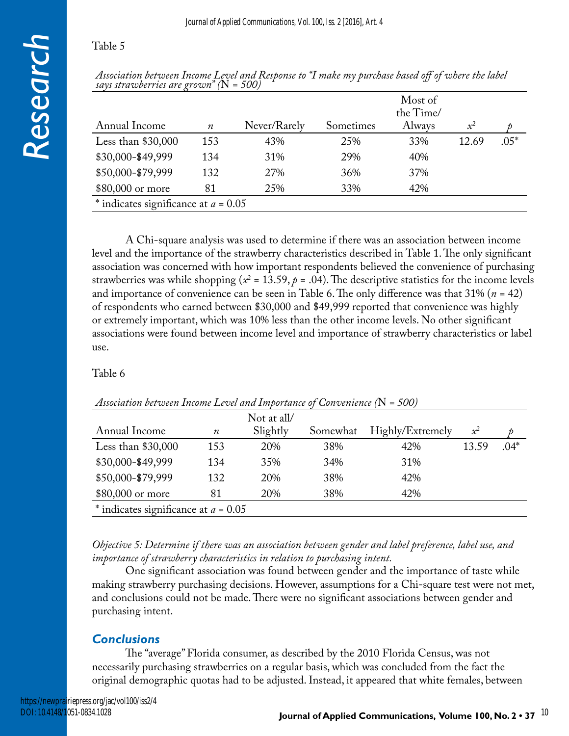### Table 5

|                                               | Table           |
|-----------------------------------------------|-----------------|
|                                               |                 |
|                                               | Assoc<br>says s |
| $\left( \blacksquare \right)$<br>$\mathbf{I}$ |                 |
| $\overline{\mathcal{G}}$                      | Ann             |
|                                               | Less            |
|                                               | \$30,           |
|                                               | \$50.0          |

*Association between Income Level and Response to "I make my purchase based off of where the label says strawberries are grown" (*N *= 500)*

| Annual Income                          | $\boldsymbol{n}$ | Never/Rarely | Sometimes | Most of<br>the Time/<br>Always | $x^2$ |        |
|----------------------------------------|------------------|--------------|-----------|--------------------------------|-------|--------|
| Less than $$30,000$                    | 153              | 43%          | 25%       | 33%                            | 12.69 | $.05*$ |
| \$30,000-\$49,999                      | 134              | 31%          | 29%       | 40%                            |       |        |
| \$50,000-\$79,999                      | 132              | 27%          | 36%       | 37%                            |       |        |
| \$80,000 or more                       | 81               | 25%          | 33%       | 42%                            |       |        |
| * indicates significance at $a = 0.05$ |                  |              |           |                                |       |        |

A Chi-square analysis was used to determine if there was an association between income level and the importance of the strawberry characteristics described in Table 1. The only significant association was concerned with how important respondents believed the convenience of purchasing strawberries was while shopping ( $x^2$  = 13.59,  $p$  = .04). The descriptive statistics for the income levels and importance of convenience can be seen in Table 6. The only difference was that 31% (*n* = 42) of respondents who earned between \$30,000 and \$49,999 reported that convenience was highly or extremely important, which was 10% less than the other income levels. No other significant associations were found between income level and importance of strawberry characteristics or label use.

### Table 6

| Annual Income                          | $\boldsymbol{n}$ | Not at all/<br>Slightly | Somewhat | Highly/Extremely | $x^2$ |        |
|----------------------------------------|------------------|-------------------------|----------|------------------|-------|--------|
| Less than $$30,000$                    | 153              | 20%                     | 38%      | 42%              | 13.59 | $.04*$ |
| \$30,000-\$49,999                      | 134              | 35%                     | 34%      | 31%              |       |        |
| \$50,000-\$79,999                      | 132              | 20%                     | 38%      | 42%              |       |        |
| \$80,000 or more                       | 81               | 20%                     | 38%      | 42%              |       |        |
| * indicates significance at $a = 0.05$ |                  |                         |          |                  |       |        |

### *Association between Income Level and Importance of Convenience (*N *= 500)*

*Objective 5: Determine if there was an association between gender and label preference, label use, and importance of strawberry characteristics in relation to purchasing intent.*

One significant association was found between gender and the importance of taste while making strawberry purchasing decisions. However, assumptions for a Chi-square test were not met, and conclusions could not be made. There were no significant associations between gender and purchasing intent.

# *Conclusions*

The "average" Florida consumer, as described by the 2010 Florida Census, was not necessarily purchasing strawberries on a regular basis, which was concluded from the fact the original demographic quotas had to be adjusted. Instead, it appeared that white females, between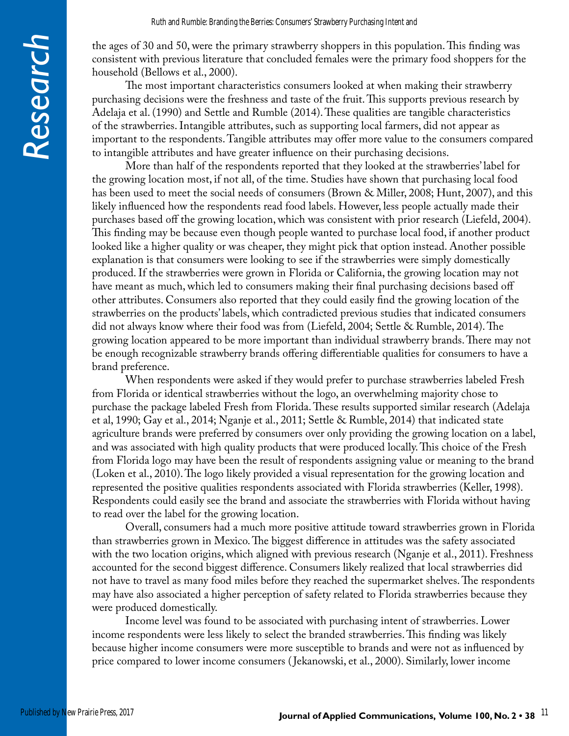the ages of 30 and 50, were the primary strawberry shoppers in this population. This finding was consistent with previous literature that concluded females were the primary food shoppers for the household (Bellows et al., 2000).

The most important characteristics consumers looked at when making their strawberry purchasing decisions were the freshness and taste of the fruit. This supports previous research by Adelaja et al. (1990) and Settle and Rumble (2014). These qualities are tangible characteristics of the strawberries. Intangible attributes, such as supporting local farmers, did not appear as important to the respondents. Tangible attributes may offer more value to the consumers compared to intangible attributes and have greater influence on their purchasing decisions.

More than half of the respondents reported that they looked at the strawberries' label for the growing location most, if not all, of the time. Studies have shown that purchasing local food has been used to meet the social needs of consumers (Brown & Miller, 2008; Hunt, 2007), and this likely influenced how the respondents read food labels. However, less people actually made their purchases based off the growing location, which was consistent with prior research (Liefeld, 2004). This finding may be because even though people wanted to purchase local food, if another product looked like a higher quality or was cheaper, they might pick that option instead. Another possible explanation is that consumers were looking to see if the strawberries were simply domestically produced. If the strawberries were grown in Florida or California, the growing location may not have meant as much, which led to consumers making their final purchasing decisions based off other attributes. Consumers also reported that they could easily find the growing location of the strawberries on the products' labels, which contradicted previous studies that indicated consumers did not always know where their food was from (Liefeld, 2004; Settle & Rumble, 2014). The growing location appeared to be more important than individual strawberry brands. There may not be enough recognizable strawberry brands offering differentiable qualities for consumers to have a brand preference.

When respondents were asked if they would prefer to purchase strawberries labeled Fresh from Florida or identical strawberries without the logo, an overwhelming majority chose to purchase the package labeled Fresh from Florida. These results supported similar research (Adelaja et al, 1990; Gay et al., 2014; Nganje et al., 2011; Settle & Rumble, 2014) that indicated state agriculture brands were preferred by consumers over only providing the growing location on a label, and was associated with high quality products that were produced locally. This choice of the Fresh from Florida logo may have been the result of respondents assigning value or meaning to the brand (Loken et al., 2010). The logo likely provided a visual representation for the growing location and represented the positive qualities respondents associated with Florida strawberries (Keller, 1998). Respondents could easily see the brand and associate the strawberries with Florida without having to read over the label for the growing location.

Overall, consumers had a much more positive attitude toward strawberries grown in Florida than strawberries grown in Mexico. The biggest difference in attitudes was the safety associated with the two location origins, which aligned with previous research (Nganje et al., 2011). Freshness accounted for the second biggest difference. Consumers likely realized that local strawberries did not have to travel as many food miles before they reached the supermarket shelves. The respondents may have also associated a higher perception of safety related to Florida strawberries because they were produced domestically.

Income level was found to be associated with purchasing intent of strawberries. Lower income respondents were less likely to select the branded strawberries. This finding was likely because higher income consumers were more susceptible to brands and were not as influenced by price compared to lower income consumers ( Jekanowski, et al., 2000). Similarly, lower income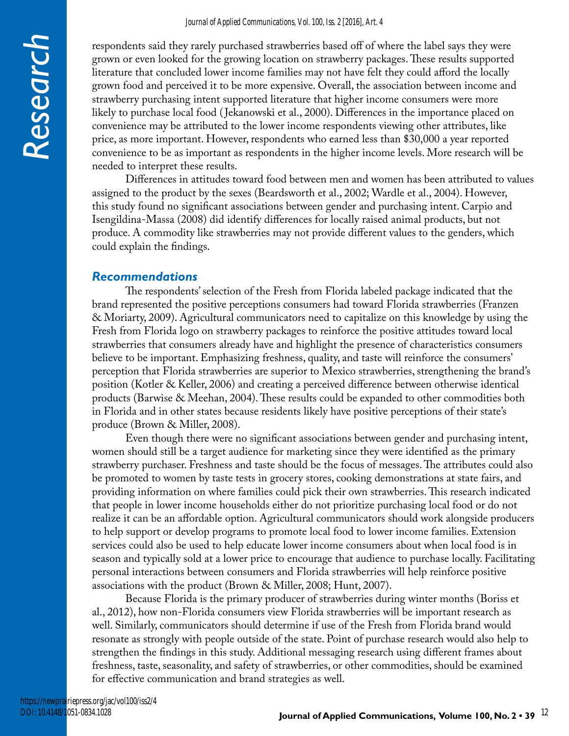respondents said they rarely purchased strawberries based off of where the label says they were grown or even looked for the growing location on strawberry packages. These results supported literature that concluded lower income families may not have felt they could afford the locally grown food and perceived it to be more expensive. Overall, the association between income and strawberry purchasing intent supported literature that higher income consumers were more likely to purchase local food ( Jekanowski et al., 2000). Differences in the importance placed on convenience may be attributed to the lower income respondents viewing other attributes, like price, as more important. However, respondents who earned less than \$30,000 a year reported convenience to be as important as respondents in the higher income levels. More research will be needed to interpret these results.

Differences in attitudes toward food between men and women has been attributed to values assigned to the product by the sexes (Beardsworth et al., 2002; Wardle et al., 2004). However, this study found no significant associations between gender and purchasing intent. Carpio and Isengildina-Massa (2008) did identify differences for locally raised animal products, but not produce. A commodity like strawberries may not provide different values to the genders, which could explain the findings.

### *Recommendations*

*Research*

The respondents' selection of the Fresh from Florida labeled package indicated that the brand represented the positive perceptions consumers had toward Florida strawberries (Franzen & Moriarty, 2009). Agricultural communicators need to capitalize on this knowledge by using the Fresh from Florida logo on strawberry packages to reinforce the positive attitudes toward local strawberries that consumers already have and highlight the presence of characteristics consumers believe to be important. Emphasizing freshness, quality, and taste will reinforce the consumers' perception that Florida strawberries are superior to Mexico strawberries, strengthening the brand's position (Kotler & Keller, 2006) and creating a perceived difference between otherwise identical products (Barwise & Meehan, 2004). These results could be expanded to other commodities both in Florida and in other states because residents likely have positive perceptions of their state's produce (Brown & Miller, 2008).

Even though there were no significant associations between gender and purchasing intent, women should still be a target audience for marketing since they were identified as the primary strawberry purchaser. Freshness and taste should be the focus of messages. The attributes could also be promoted to women by taste tests in grocery stores, cooking demonstrations at state fairs, and providing information on where families could pick their own strawberries. This research indicated that people in lower income households either do not prioritize purchasing local food or do not realize it can be an affordable option. Agricultural communicators should work alongside producers to help support or develop programs to promote local food to lower income families. Extension services could also be used to help educate lower income consumers about when local food is in season and typically sold at a lower price to encourage that audience to purchase locally. Facilitating personal interactions between consumers and Florida strawberries will help reinforce positive associations with the product (Brown & Miller, 2008; Hunt, 2007).

Because Florida is the primary producer of strawberries during winter months (Boriss et al., 2012), how non-Florida consumers view Florida strawberries will be important research as well. Similarly, communicators should determine if use of the Fresh from Florida brand would resonate as strongly with people outside of the state. Point of purchase research would also help to strengthen the findings in this study. Additional messaging research using different frames about freshness, taste, seasonality, and safety of strawberries, or other commodities, should be examined for effective communication and brand strategies as well.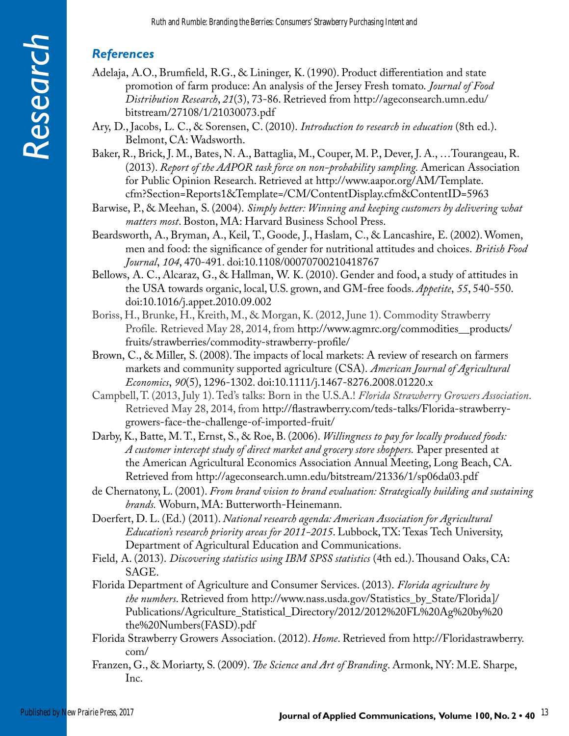## *References*

- Adelaja, A.O., Brumfield, R.G., & Lininger, K. (1990). Product differentiation and state promotion of farm produce: An analysis of the Jersey Fresh tomato. *Journal of Food Distribution Research*, *21*(3), 73-86. Retrieved from http://ageconsearch.umn.edu/ bitstream/27108/1/21030073.pdf
- Ary, D., Jacobs, L. C., & Sorensen, C. (2010). *Introduction to research in education* (8th ed.). Belmont, CA: Wadsworth.
- Baker, R., Brick, J. M., Bates, N. A., Battaglia, M., Couper, M. P., Dever, J. A., …Tourangeau, R. (2013). *Report of the AAPOR task force on non-probability sampling.* American Association for Public Opinion Research. Retrieved at http://www.aapor.org/AM/Template. cfm?Section=Reports1&Template=/CM/ContentDisplay.cfm&ContentID=5963

Barwise, P., & Meehan, S. (2004). *Simply better: Winning and keeping customers by delivering what matters most*. Boston, MA: Harvard Business School Press.

- Beardsworth, A., Bryman, A., Keil, T., Goode, J., Haslam, C., & Lancashire, E. (2002). Women, men and food: the significance of gender for nutritional attitudes and choices. *British Food Journal*, *104*, 470-491. doi:10.1108/00070700210418767
- Bellows, A. C., Alcaraz, G., & Hallman, W. K. (2010). Gender and food, a study of attitudes in the USA towards organic, local, U.S. grown, and GM-free foods. *Appetite*, *55*, 540-550. doi:10.1016/j.appet.2010.09.002
- Boriss, H., Brunke, H., Kreith, M., & Morgan, K. (2012, June 1). Commodity Strawberry Profile. Retrieved May 28, 2014, from http://www.agmrc.org/commodities\_\_products/ fruits/strawberries/commodity-strawberry-profile/
- Brown, C., & Miller, S. (2008). The impacts of local markets: A review of research on farmers markets and community supported agriculture (CSA). *American Journal of Agricultural Economics*, *90*(5), 1296-1302. doi:10.1111/j.1467-8276.2008.01220.x
- Campbell, T. (2013, July 1). Ted's talks: Born in the U.S.A.! *Florida Strawberry Growers Association*. Retrieved May 28, 2014, from http://flastrawberry.com/teds-talks/Florida-strawberrygrowers-face-the-challenge-of-imported-fruit/
- Darby, K., Batte, M. T., Ernst, S., & Roe, B. (2006). *Willingness to pay for locally produced foods: A customer intercept study of direct market and grocery store shoppers.* Paper presented at the American Agricultural Economics Association Annual Meeting, Long Beach, CA. Retrieved from http://ageconsearch.umn.edu/bitstream/21336/1/sp06da03.pdf
- de Chernatony, L. (2001). *From brand vision to brand evaluation: Strategically building and sustaining brands.* Woburn, MA: Butterworth-Heinemann.
- Doerfert, D. L. (Ed.) (2011). *National research agenda: American Association for Agricultural Education's research priority areas for 2011-2015*. Lubbock, TX: Texas Tech University, Department of Agricultural Education and Communications.
- Field, A. (2013). *Discovering statistics using IBM SPSS statistics* (4th ed.). Thousand Oaks, CA: SAGE.
- Florida Department of Agriculture and Consumer Services. (2013). *Florida agriculture by the numbers*. Retrieved from http://www.nass.usda.gov/Statistics\_by\_State/Florida]/ Publications/Agriculture\_Statistical\_Directory/2012/2012%20FL%20Ag%20by%20 the%20Numbers(FASD).pdf
- Florida Strawberry Growers Association. (2012). *Home*. Retrieved from http://Floridastrawberry. com/
- Franzen, G., & Moriarty, S. (2009). *The Science and Art of Branding*. Armonk, NY: M.E. Sharpe, Inc.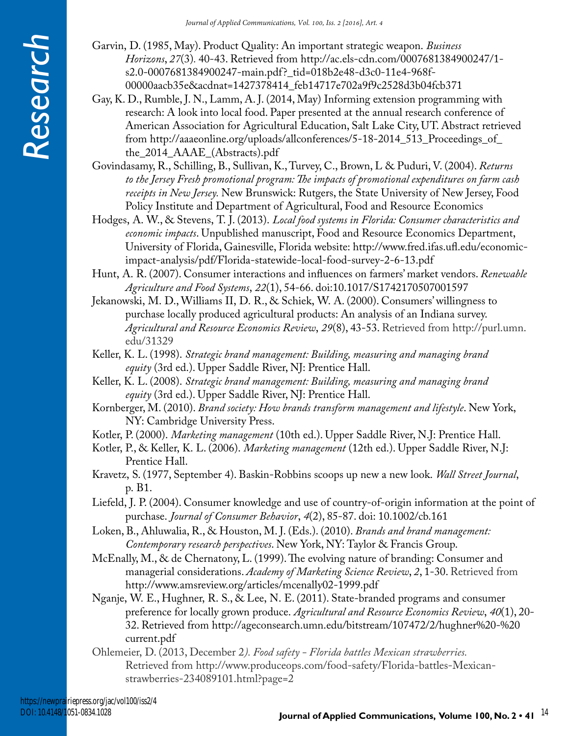- Garvin, D. (1985, May). Product Quality: An important strategic weapon. *Business Horizons*, *27*(3)*.* 40-43. Retrieved from http://ac.els-cdn.com/0007681384900247/1 s2.0-0007681384900247-main.pdf?\_tid=018b2e48-d3c0-11e4-968f-00000aacb35e&acdnat=1427378414\_feb14717e702a9f9c2528d3b04fcb371
- Gay, K. D., Rumble, J. N., Lamm, A. J. (2014, May) Informing extension programming with research: A look into local food. Paper presented at the annual research conference of American Association for Agricultural Education, Salt Lake City, UT. Abstract retrieved from http://aaaeonline.org/uploads/allconferences/5-18-2014\_513\_Proceedings\_of\_ the\_2014\_AAAE\_(Abstracts).pdf
- Govindasamy, R., Schilling, B., Sullivan, K., Turvey, C., Brown, L & Puduri, V. (2004). *Returns to the Jersey Fresh promotional program: The impacts of promotional expenditures on farm cash receipts in New Jersey.* New Brunswick: Rutgers, the State University of New Jersey, Food Policy Institute and Department of Agricultural, Food and Resource Economics
- Hodges, A. W., & Stevens, T. J. (2013). *Local food systems in Florida: Consumer characteristics and economic impacts*. Unpublished manuscript, Food and Resource Economics Department, University of Florida, Gainesville, Florida website: http://www.fred.ifas.ufl.edu/economicimpact-analysis/pdf/Florida-statewide-local-food-survey-2-6-13.pdf

Hunt, A. R. (2007). Consumer interactions and influences on farmers' market vendors. *Renewable Agriculture and Food Systems*, *22*(1), 54-66. doi:10.1017/S1742170507001597

- Jekanowski, M. D., Williams II, D. R., & Schiek, W. A. (2000). Consumers' willingness to purchase locally produced agricultural products: An analysis of an Indiana survey. *Agricultural and Resource Economics Review*, *29*(8), 43-53. Retrieved from http://purl.umn. edu/31329
- Keller, K. L. (1998). *Strategic brand management: Building, measuring and managing brand equity* (3rd ed.). Upper Saddle River, NJ: Prentice Hall.
- Keller, K. L. (2008). *Strategic brand management: Building, measuring and managing brand equity* (3rd ed.). Upper Saddle River, NJ: Prentice Hall.
- Kornberger, M. (2010). *Brand society: How brands transform management and lifestyle*. New York, NY: Cambridge University Press.
- Kotler, P. (2000). *Marketing management* (10th ed.). Upper Saddle River, N.J: Prentice Hall.
- Kotler, P., & Keller, K. L. (2006). *Marketing management* (12th ed.). Upper Saddle River, N.J: Prentice Hall.
- Kravetz, S. (1977, September 4). Baskin-Robbins scoops up new a new look. *Wall Street Journal*, p. B1.
- Liefeld, J. P. (2004). Consumer knowledge and use of country-of-origin information at the point of purchase. *Journal of Consumer Behavior*, *4*(2), 85-87. doi: 10.1002/cb.161
- Loken, B., Ahluwalia, R., & Houston, M. J. (Eds.). (2010). *Brands and brand management: Contemporary research perspectives*. New York, NY: Taylor & Francis Group.
- McEnally, M., & de Chernatony, L. (1999). The evolving nature of branding: Consumer and managerial considerations. *Academy of Marketing Science Review*, *2*, 1-30. Retrieved from http://www.amsreview.org/articles/mcenally02-1999.pdf
- Nganje, W. E., Hughner, R. S., & Lee, N. E. (2011). State-branded programs and consumer preference for locally grown produce. *Agricultural and Resource Economics Review*, *40*(1), 20- 32. Retrieved from http://ageconsearch.umn.edu/bitstream/107472/2/hughner%20-%20 current.pdf
- Ohlemeier, D. (2013, December 2*). Food safety Florida battles Mexican strawberries.*  Retrieved from http://www.produceops.com/food-safety/Florida-battles-Mexicanstrawberries-234089101.html?page=2